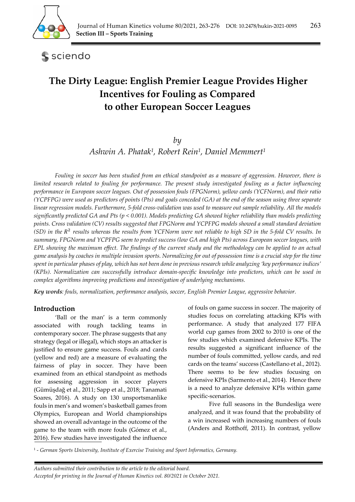

sciendo

# **The Dirty League: English Premier League Provides Higher Incentives for Fouling as Compared to other European Soccer Leagues**

*by* 

*Ashwin A. Phatak1, Robert Rein1, Daniel Memmert1*

*Fouling in soccer has been studied from an ethical standpoint as a measure of aggression. However, there is limited research related to fouling for performance. The present study investigated fouling as a factor influencing performance in European soccer leagues. Out of possession fouls (FPGNorm), yellow cards (YCFNorm), and their ratio (YCPFPG) were used as predictors of points (Pts) and goals conceded (GA) at the end of the season using three separate linear regression models. Furthermore, 5-fold cross-validation was used to measure out sample reliability. All the models significantly predicted GA and Pts (p < 0.001). Models predicting GA showed higher reliability than models predicting points. Cross validation (CV) results suggested that FPGNorm and YCPFPG models showed a small standard deviation (SD) in the* ଶ *results whereas the results from YCFNorm were not reliable to high SD in the 5-fold CV results. In summary, FPGNorm and YCPFPG seem to predict success (low GA and high Pts) across European soccer leagues, with EPL showing the maximum effect. The findings of the current study and the methodology can be applied to an actual game analysis by coaches in multiple invasion sports. Normalizing for out of possession time is a crucial step for the time spent in particular phases of play, which has not been done in previous research while analyzing 'key performance indices' (KPIs). Normalization can successfully introduce domain-specific knowledge into predictors, which can be used in complex algorithms improving predictions and investigation of underlying mechanisms.* 

*Key words: fouls, normalization, performance analysis, soccer, English Premier League, aggressive behavior.* 

# **Introduction**

'Ball or the man' is a term commonly associated with rough tackling teams in contemporary soccer. The phrase suggests that any strategy (legal or illegal), which stops an attacker is justified to ensure game success. Fouls and cards (yellow and red) are a measure of evaluating the fairness of play in soccer. They have been examined from an ethical standpoint as methods for assessing aggression in soccer players (Gümüşdağ et al., 2011; Sapp et al., 2018; Tanamati Soares, 2016). A study on 130 unsportsmanlike fouls in men's and women's basketball games from Olympics, European and World championships showed an overall advantage in the outcome of the game to the team with more fouls (Gómez et al., 2016). Few studies have investigated the influence

of fouls on game success in soccer. The majority of studies focus on correlating attacking KPIs with performance. A study that analyzed 177 FIFA world cup games from 2002 to 2010 is one of the few studies which examined defensive KPIs. The results suggested a significant influence of the number of fouls committed, yellow cards, and red cards on the teams' success (Castellano et al., 2012). There seems to be few studies focusing on defensive KPIs (Sarmento et al., 2014). Hence there is a need to analyze defensive KPIs within game specific-scenarios.

 Five full seasons in the Bundesliga were analyzed, and it was found that the probability of a win increased with increasing numbers of fouls (Anders and Rotthoff, 2011). In contrast, yellow

1 - *German Sports University, Institute of Exercise Training and Sport Informatics, Germany.*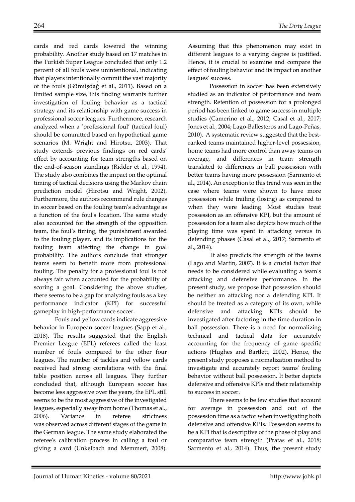cards and red cards lowered the winning probability. Another study based on 17 matches in the Turkish Super League concluded that only 1.2 percent of all fouls were unintentional, indicating that players intentionally commit the vast majority of the fouls (Gümüşdağ et al., 2011). Based on a limited sample size, this finding warrants further investigation of fouling behavior as a tactical strategy and its relationship with game success in professional soccer leagues. Furthermore, research analyzed when a 'professional foul' (tactical foul) should be committed based on hypothetical game scenarios (M. Wright and Hirotsu, 2003). That study extends previous findings on red cards' effect by accounting for team strengths based on the end-of-season standings (Ridder et al., 1994). The study also combines the impact on the optimal timing of tactical decisions using the Markov chain prediction model (Hirotsu and Wright, 2002). Furthermore, the authors recommend rule changes in soccer based on the fouling team's advantage as a function of the foul's location. The same study also accounted for the strength of the opposition team, the foul's timing, the punishment awarded to the fouling player, and its implications for the fouling team affecting the change in goal probability. The authors conclude that stronger teams seem to benefit more from professional fouling. The penalty for a professional foul is not always fair when accounted for the probability of scoring a goal. Considering the above studies, there seems to be a gap for analyzing fouls as a key performance indicator (KPI) for successful gameplay in high-performance soccer.

 Fouls and yellow cards indicate aggressive behavior in European soccer leagues (Sapp et al., 2018). The results suggested that the English Premier League (EPL) referees called the least number of fouls compared to the other four leagues. The number of tackles and yellow cards received had strong correlations with the final table position across all leagues. They further concluded that, although European soccer has become less aggressive over the years, the EPL still seems to be the most aggressive of the investigated leagues, especially away from home (Thomas et al., 2006). Variance in referee strictness was observed across different stages of the game in the German league. The same study elaborated the referee's calibration process in calling a foul or giving a card (Unkelbach and Memmert, 2008).

Assuming that this phenomenon may exist in different leagues to a varying degree is justified. Hence, it is crucial to examine and compare the effect of fouling behavior and its impact on another leagues' success.

Possession in soccer has been extensively studied as an indicator of performance and team strength. Retention of possession for a prolonged period has been linked to game success in multiple studies (Camerino et al., 2012; Casal et al., 2017; Jones et al., 2004; Lago-Ballesteros and Lago-Peñas, 2010). A systematic review suggested that the bestranked teams maintained higher-level possession, home teams had more control than away teams on average, and differences in team strength translated to differences in ball possession with better teams having more possession (Sarmento et al., 2014). An exception to this trend was seen in the case where teams were shown to have more possession while trailing (losing) as compared to when they were leading. Most studies treat possession as an offensive KPI, but the amount of possession for a team also depicts how much of the playing time was spent in attacking versus in defending phases (Casal et al., 2017; Sarmento et al., 2014).

 It also predicts the strength of the teams (Lago and Martín, 2007). It is a crucial factor that needs to be considered while evaluating a team's attacking and defensive performance. In the present study, we propose that possession should be neither an attacking nor a defending KPI. It should be treated as a category of its own, while defensive and attacking KPIs should be investigated after factoring in the time duration in ball possession. There is a need for normalizing technical and tactical data for accurately accounting for the frequency of game specific actions (Hughes and Bartlett, 2002). Hence, the present study proposes a normalization method to investigate and accurately report teams' fouling behavior without ball possession. It better depicts defensive and offensive KPIs and their relationship to success in soccer.

There seems to be few studies that account for average in possession and out of the possession time as a factor when investigating both defensive and offensive KPIs. Possession seems to be a KPI that is descriptive of the phase of play and comparative team strength (Pratas et al., 2018; Sarmento et al., 2014). Thus, the present study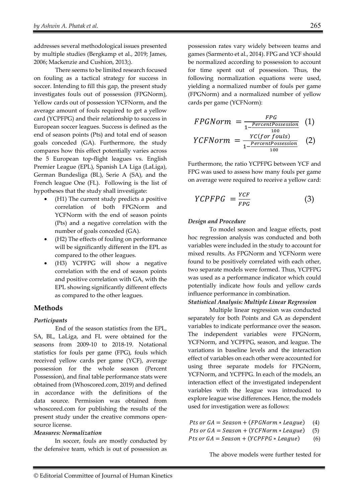addresses several methodological issues presented by multiple studies (Bergkamp et al., 2019; James, 2006; Mackenzie and Cushion, 2013;).

There seems to be limited research focused on fouling as a tactical strategy for success in soccer. Intending to fill this gap, the present study investigates fouls out of possession (FPGNorm), Yellow cards out of possession YCFNorm, and the average amount of fouls required to get a yellow card (YCPFPG) and their relationship to success in European soccer leagues. Success is defined as the end of season points (Pts) and total end of season goals conceded (GA). Furthermore, the study compares how this effect potentially varies across the 5 European top-flight leagues vs. English Premier League (EPL), Spanish LA Liga (LaLiga), German Bundesliga (BL), Serie A (SA), and the French league One (FL). Following is the list of hypotheses that the study shall investigate:

- (H1) The current study predicts a positive correlation of both FPGNorm and YCFNorm with the end of season points (Pts) and a negative correlation with the number of goals conceded (GA).
- (H2) The effects of fouling on performance will be significantly different in the EPL as compared to the other leagues.
- (H3) YCPFPG will show a negative correlation with the end of season points and positive correlation with GA, with the EPL showing significantly different effects as compared to the other leagues.

# **Methods**

#### *Participants*

End of the season statistics from the EPL, SA, BL, LaLiga, and FL were obtained for the seasons from 2009-10 to 2018-19. Notational statistics for fouls per game (FPG), fouls which received yellow cards per game (YCF), average possession for the whole season (Percent Possession), and final table performance stats were obtained from (Whoscored.com, 2019) and defined in accordance with the definitions of the data source. Permission was obtained from whoscored.com for publishing the results of the present study under the creative commons opensource license.

#### *Measures: Normalization*

 In soccer, fouls are mostly conducted by the defensive team, which is out of possession as possession rates vary widely between teams and games (Sarmento et al., 2014). FPG and YCF should be normalized according to possession to account for time spent out of possession. Thus, the following normalization equations were used, yielding a normalized number of fouls per game (FPGNorm) and a normalized number of yellow cards per game (YCFNorm):

$$
FPGNorm = \frac{FPG}{1 - \frac{PercentPossession}{100}} \quad (1)
$$
\n
$$
YCFNorm = \frac{FC(for \, \, 100}{1 - \frac{PercentPossession}{100}} \quad (2)
$$

Furthermore, the ratio YCPFPG between YCF and FPG was used to assess how many fouls per game on average were required to receive a yellow card:

$$
YCPFPG = \frac{YCF}{FPG} \tag{3}
$$

#### *Design and Procedure*

To model season and league effects, post hoc regression analysis was conducted and both variables were included in the study to account for mixed results. As FPGNorm and YCFNorm were found to be positively correlated with each other, two separate models were formed. Thus, YCPFPG was used as a performance indicator which could potentially indicate how fouls and yellow cards influence performance in combination.

#### *Statistical Analysis: Multiple Linear Regression*

Multiple linear regression was conducted separately for both Points and GA as dependent variables to indicate performance over the season. The independent variables were FPGNorm, YCFNorm, and YCPFPG, season, and league. The variations in baseline levels and the interaction effect of variables on each other were accounted for using three separate models for FPGNorm, YCFNorm, and YCPFPG. In each of the models, an interaction effect of the investigated independent variables with the league was introduced to explore league wise differences. Hence, the models used for investigation were as follows:

- Pts or  $GA =$ *Season* $+ ( $FPGNorm * League$ ) (4)$
- Pts or  $GA =$ *Season* $+ ( $YCFNorm * League$ ) (5)$
- Pts or  $GA =$  Season + ( $YCPFPG *$  League) (6)

The above models were further tested for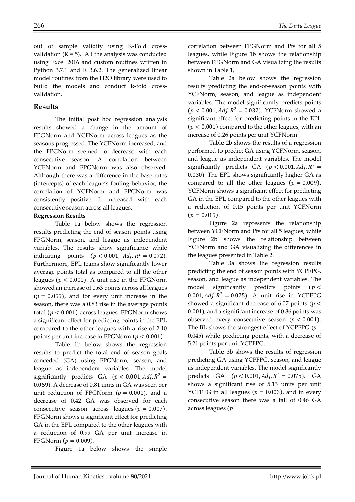out of sample validity using K-Fold crossvalidation  $(K = 5)$ . All the analysis was conducted using Excel 2016 and custom routines written in Python 3.7.1 and R 3.6.2. The generalized linear model routines from the H2O library were used to build the models and conduct k-fold crossvalidation.

# **Results**

The initial post hoc regression analysis results showed a change in the amount of FPGNorm and YCFNorm across leagues as the seasons progressed. The YCFNorm increased, and the FPGNorm seemed to decrease with each consecutive season. A correlation between YCFNorm and FPGNorm was also observed. Although there was a difference in the base rates (intercepts) of each league's fouling behavior, the correlation of YCFNorm and FPGNorm was consistently positive. It increased with each consecutive season across all leagues.

## **Regression Results**

Table 1a below shows the regression results predicting the end of season points using FPGNorm, season, and league as independent variables. The results show significance while indicating points  $(p < 0.001, \text{Adj. } R^2 = 0.072)$ . Furthermore, EPL teams show significantly lower average points total as compared to all the other leagues ( $p < 0.001$ ). A unit rise in the FPGNorm showed an increase of 0.63 points across all leagues  $(p = 0.055)$ , and for every unit increase in the season, there was a 0.83 rise in the average points total ( $p < 0.001$ ) across leagues. FPGNorm shows a significant effect for predicting points in the EPL compared to the other leagues with a rise of 2.10 points per unit increase in FPGNorm  $(p < 0.001)$ .

Table 1b below shows the regression results to predict the total end of season goals conceded (GA) using FPGNorm, season, and league as independent variables. The model significantly predicts GA ( $p < 0.001$ , Adj.  $R^2 =$ 0.069). A decrease of 0.81 units in GA was seen per unit reduction of FPGNorm ( $p = 0.001$ ), and a decrease of 0.42 GA was observed for each consecutive season across leagues ( $p = 0.007$ ). FPGNorm shows a significant effect for predicting GA in the EPL compared to the other leagues with a reduction of 0.99 GA per unit increase in FPGNorm ( $p = 0.009$ ).

Figure 1a below shows the simple

correlation between FPGNorm and Pts for all 5 leagues, while Figure 1b shows the relationship between FPGNorm and GA visualizing the results shown in Table 1,

Table 2a below shows the regression results predicting the end-of-season points with YCFNorm, season, and league as independent variables. The model significantly predicts points  $(p < 0.001, Adj. R^2 = 0.032)$ . YCFNorm showed a significant effect for predicting points in the EPL  $(p < 0.001)$  compared to the other leagues, with an increase of 0.26 points per unit YCFNorm.

Table 2b shows the results of a regression performed to predict GA using YCFNorm, season, and league as independent variables. The model significantly predicts GA  $(p < 0.001, Adj, R^2 =$ 0.030). The EPL shows significantly higher GA as compared to all the other leagues ( $p = 0.009$ ). YCFNorm shows a significant effect for predicting GA in the EPL compared to the other leagues with a reduction of 0.15 points per unit YCFNorm  $(p = 0.015)$ .

Figure 2a represents the relationship between YCFNorm and Pts for all 5 leagues, while Figure 2b shows the relationship between YCFNorm and GA visualizing the differences in the leagues presented in Table 2.

Table 3a shows the regression results predicting the end of season points with YCPFPG, season, and league as independent variables. The model significantly predicts points  $(p <$ 0.001,  $Adj. R^2 = 0.075$ ). A unit rise in YCPFPG showed a significant decrease of 6.07 points ( $p <$ 0.001), and a significant increase of 0.86 points was observed every consecutive season ( $p < 0.001$ ). The BL shows the strongest effect of YCPFPG (*p* = 0.045) while predicting points, with a decrease of 5.21 points per unit YCPFPG.

Table 3b shows the results of regression predicting GA using YCPFPG, season, and league as independent variables. The model significantly predicts GA  $(p < 0.001, Adj, R^2 = 0.075)$ . GA shows a significant rise of 5.13 units per unit YCPFPG in all leagues ( $p = 0.003$ ), and in every consecutive season there was a fall of 0.46 GA across leagues (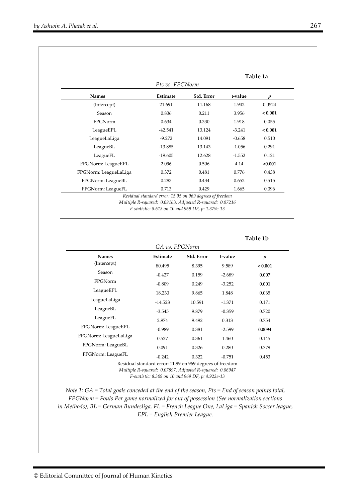|                       |                 |            |          | Table 1a |
|-----------------------|-----------------|------------|----------|----------|
|                       | Pts vs. FPGNorm |            |          |          |
| <b>Names</b>          | Estimate        | Std. Error | t-value  |          |
| (Intercept)           | 21.691          | 11.168     | 1.942    | 0.0524   |
| Season                | 0.836           | 0.211      | 3.956    | < 0.001  |
| FPGNorm               | 0.634           | 0.330      | 1.918    | 0.055    |
| LeagueEPL             | $-42.541$       | 13.124     | $-3.241$ | < 0.001  |
| LeagueLaLiga          | $-9.272$        | 14.091     | $-0.658$ | 0.510    |
| LeagueBL              | $-13.885$       | 13.143     | $-1.056$ | 0.291    |
| LeagueFL              | $-19.605$       | 12.628     | $-1.552$ | 0.121    |
| FPGNorm: LeagueEPL    | 2.096           | 0.506      | 4.14     | < 0.001  |
| FPGNorm: LeagueLaLiga | 0.372           | 0.481      | 0.776    | 0.438    |
| FPGNorm: LeagueBL     | 0.283           | 0.434      | 0.652    | 0.515    |
| FPGNorm: LeagueFL     | 0.713           | 0.429      | 1.665    | 0.096    |

*F-statistic: 8.613 on 10 and 969 DF, p: 1.379e-13* 

#### **Table 1b**

|                       | GA vs. FPGNorm |            |          |         |
|-----------------------|----------------|------------|----------|---------|
| <b>Names</b>          | Estimate       | Std. Error | t-value  | n       |
| (Intercept)           | 80.495         | 8.395      | 9.589    | < 0.001 |
| Season                | $-0.427$       | 0.159      | $-2.689$ | 0.007   |
| <b>FPGNorm</b>        | $-0.809$       | 0.249      | $-3.252$ | 0.001   |
| LeagueEPL             | 18.230         | 9.865      | 1.848    | 0.065   |
| LeagueLaLiga          | $-14.523$      | 10.591     | $-1.371$ | 0.171   |
| LeagueBL              | $-3.545$       | 9.879      | $-0.359$ | 0.720   |
| LeagueFL              | 2.974          | 9.492      | 0.313    | 0.754   |
| FPGNorm: LeagueEPL    | $-0.989$       | 0.381      | $-2.599$ | 0.0094  |
| FPGNorm: LeagueLaLiga | 0.527          | 0.361      | 1.460    | 0.145   |
| FPGNorm: LeagueBL     | 0.091          | 0.326      | 0.280    | 0.779   |
| FPGNorm: LeagueFL     | $-0.242$       | 0.322      | $-0.751$ | 0.453   |

Residual standard error: 11.99 on 969 degrees of freedom *Multiple R-squared: 0.07897, Adjusted R-squared: 0.06947 F-statistic: 8.309 on 10 and 969 DF, p: 4.922e-13* 

*Note 1: GA = Total goals conceded at the end of the season, Pts = End of season points total, FPGNorm = Fouls Per game normalized for out of possession (See normalization sections in Methods), BL = German Bundesliga, FL = French League One, LaLiga = Spanish Soccer league, EPL = English Premier League*.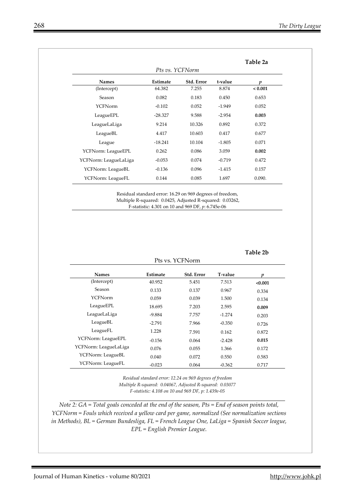|                       | Pts vs. YCFNorm |            |          |         |
|-----------------------|-----------------|------------|----------|---------|
| <b>Names</b>          | Estimate        | Std. Error | t-value  | п       |
| (Intercept)           | 64.382          | 7.255      | 8.874    | < 0.001 |
| Season                | 0.082           | 0.183      | 0.450    | 0.653   |
| YCFNorm               | $-0.102$        | 0.052      | $-1.949$ | 0.052   |
| LeagueEPL             | $-28.327$       | 9.588      | $-2.954$ | 0.003   |
| LeagueLaLiga          | 9.214           | 10.326     | 0.892    | 0.372   |
| LeagueBL              | 4.417           | 10.603     | 0.417    | 0.677   |
| League                | $-18.241$       | 10.104     | $-1.805$ | 0.071   |
| YCFNorm: LeagueEPL    | 0.262           | 0.086      | 3.059    | 0.002   |
| YCFNorm: LeagueLaLiga | $-0.053$        | 0.074      | $-0.719$ | 0.472   |
| YCFNorm: LeagueBL     | $-0.136$        | 0.096      | $-1.415$ | 0.157   |
| YCFNorm: LeagueFL     | 0.144           | 0.085      | 1.697    | 0.090.  |

Residual standard error: 16.29 on 969 degrees of freedom, Multiple R-squared: 0.0425, Adjusted R-squared: 0.03262, F-statistic: 4.301 on 10 and 969 DF, *p*: 6.745e-06

## **Table 2b**

**Table 2a** 

|                       | Pts vs. YCFNorm |            |          |         |  |  |
|-----------------------|-----------------|------------|----------|---------|--|--|
| <b>Names</b>          | Estimate        | Std. Error | T-value  | п       |  |  |
| (Intercept)           | 40.952          | 5.451      | 7.513    | < 0.001 |  |  |
| Season                | 0.133           | 0.137      | 0.967    | 0.334   |  |  |
| <b>YCFNorm</b>        | 0.059           | 0.039      | 1.500    | 0.134   |  |  |
| LeagueEPL             | 18.695          | 7.203      | 2.595    | 0.009   |  |  |
| LeagueLaLiga          | $-9.884$        | 7.757      | $-1.274$ | 0.203   |  |  |
| LeagueBL              | $-2.791$        | 7.966      | $-0.350$ | 0.726   |  |  |
| LeagueFL              | 1.228           | 7.591      | 0.162    | 0.872   |  |  |
| YCFNorm: LeagueEPL    | $-0.156$        | 0.064      | $-2.428$ | 0.015   |  |  |
| YCFNorm: LeagueLaLiga | 0.076           | 0.055      | 1.366    | 0.172   |  |  |
| YCFNorm: LeagueBL     | 0.040           | 0.072      | 0.550    | 0.583   |  |  |
| YCFNorm: LeagueFL     | $-0.023$        | 0.064      | $-0.362$ | 0.717   |  |  |

*Residual standard error: 12.24 on 969 degrees of freedom Multiple R-squared: 0.04067, Adjusted R-squared: 0.03077 F-statistic: 4.108 on 10 and 969 DF, p: 1.439e-05* 

*Note 2: GA = Total goals conceded at the end of the season, Pts = End of season points total, YCFNorm = Fouls which received a yellow card per game, normalized (See normalization sections in Methods), BL = German Bundesliga, FL = French League One, LaLiga = Spanish Soccer league, EPL = English Premier League.*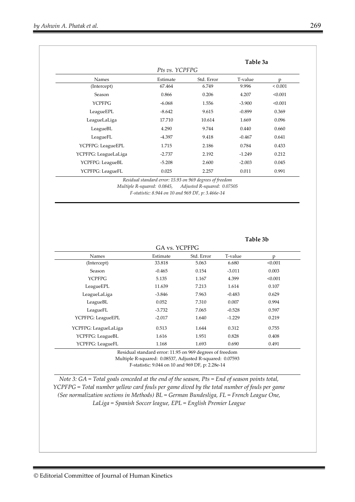|                      |                |            | Table 3a |              |
|----------------------|----------------|------------|----------|--------------|
|                      | Pts vs. YCPFPG |            |          |              |
| <b>Names</b>         | Estimate       | Std. Error | T-value  | p            |
| (Intercept)          | 67.464         | 6.749      | 9.996    | ${}_{0.001}$ |
| Season               | 0.866          | 0.206      | 4.207    | < 0.001      |
| <b>YCPFPG</b>        | $-6.068$       | 1.556      | $-3.900$ | < 0.001      |
| LeagueEPL            | $-8.642$       | 9.615      | $-0.899$ | 0.369        |
| LeagueLaLiga         | 17.710         | 10.614     | 1.669    | 0.096        |
| LeagueBL             | 4.290          | 9.744      | 0.440    | 0.660        |
| LeagueFL             | -4.397         | 9.418      | $-0.467$ | 0.641        |
| YCPFPG: LeagueEPL    | 1.715          | 2.186      | 0.784    | 0.433        |
| YCPFPG: LeagueLaLiga | $-2.737$       | 2.192      | $-1.249$ | 0.212        |
| YCPFPG: LeagueBL     | $-5.208$       | 2.600      | $-2.003$ | 0.045        |
| YCPFPG: LeagueFL     | 0.025          | 2.257      | 0.011    | 0.991        |

*Residual standard error: 15.93 on 969 degrees of freedom* 

*Multiple R-squared: 0.0845, Adjusted R-squared: 0.07505 F-statistic: 8.944 on 10 and 969 DF, p: 3.466e-14*

#### **Table 3b**

| <b>Names</b>         | Estimate | Std. Error | T-value  | p       |
|----------------------|----------|------------|----------|---------|
| (Intercept)          | 33.818   | 5.063      | 6.680    | < 0.001 |
| Season               | $-0.465$ | 0.154      | $-3.011$ | 0.003   |
| <b>YCPFPG</b>        | 5.135    | 1.167      | 4.399    | < 0.001 |
| LeagueEPL            | 11.639   | 7.213      | 1.614    | 0.107   |
| LeagueLaLiga         | $-3.846$ | 7.963      | $-0.483$ | 0.629   |
| LeagueBL             | 0.052    | 7.310      | 0.007    | 0.994   |
| LeagueFL             | $-3.732$ | 7.065      | $-0.528$ | 0.597   |
| YCPFPG: LeagueEPL    | $-2.017$ | 1.640      | $-1.229$ | 0.219   |
| YCPFPG: LeagueLaLiga | 0.513    | 1.644      | 0.312    | 0.755   |
| YCPFPG: LeagueBL     | 1.616    | 1.951      | 0.828    | 0.408   |
| YCPFPG: LeagueFL     | 1.168    | 1.693      | 0.690    | 0.491   |

F-statistic: 9.044 on 10 and 969 DF, p: 2.28e-14

*Note 3: GA = Total goals conceded at the end of the season, Pts = End of season points total, YCPFPG = Total number yellow card fouls per game dived by the total number of fouls per game (See normalization sections in Methods) BL = German Bundesliga, FL = French League One, LaLiga = Spanish Soccer league, EPL = English Premier League*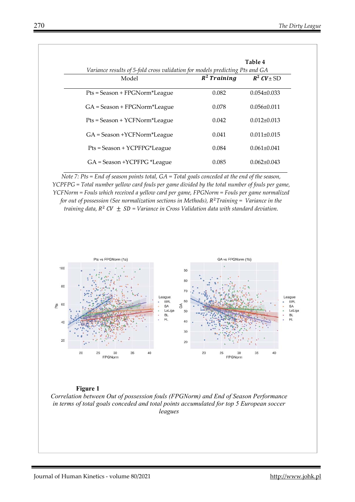|                                                                                       |                | Table 4           |
|---------------------------------------------------------------------------------------|----------------|-------------------|
| Variance results of 5-fold cross validation for models predicting Pts and GA<br>Model | $R^2$ Training | $R^2$ CV ± SD     |
| Pts = Season + FPGNorm*League                                                         | 0.082          | $0.054 \pm 0.033$ |
| GA = Season + FPGNorm*League                                                          | 0.078          | $0.056 \pm 0.011$ |
| Pts = Season + YCFNorm*League                                                         | 0.042          | $0.012 \pm 0.013$ |
| GA = Season +YCFNorm*League                                                           | 0.041          | $0.011 \pm 0.015$ |
| $Pts = Season + YCFFFG*League$                                                        | 0.084          | $0.061 \pm 0.041$ |
| GA = Season +YCPFPG *League                                                           | 0.085          | $0.062 \pm 0.043$ |

*Note 7: Pts = End of season points total, GA = Total goals conceded at the end of the season, YCPFPG = Total number yellow card fouls per game divided by the total number of fouls per game, YCFNorm = Fouls which received a yellow card per game, FPGNorm = Fouls per game normalized for out of possession (See normalization sections in Methods), R<sup>2</sup> Training = Variance in the training data,*  $R^2$  *CV*  $\pm$  *SD* = Variance in Cross Validation data with standard deviation.



#### **Figure 1**

*Correlation between Out of possession fouls (FPGNorm) and End of Season Performance in terms of total goals conceded and total points accumulated for top 5 European soccer leagues*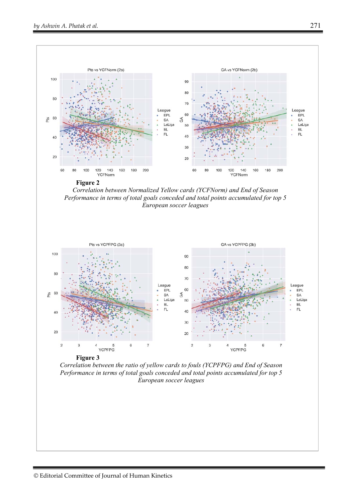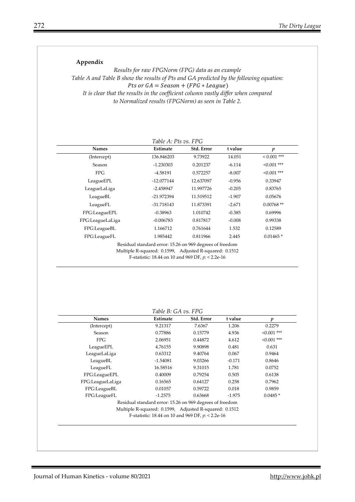## **Appendix**

*Results for raw FPGNorm (FPG) data as an example Table A and Table B show the results of Pts and GA predicted by the following equation:*  Pts or  $GA = Season + (FPG * League)$ *It is clear that the results in the coefficient column vastly differ when compared to Normalized results (FPGNorm) as seen in Table 2.* 

| <b>Names</b>     | Estimate                                                                                                                                                                   | Std. Error | t value  | $\boldsymbol{p}$ |
|------------------|----------------------------------------------------------------------------------------------------------------------------------------------------------------------------|------------|----------|------------------|
| (Intercept)      | 136.846203                                                                                                                                                                 | 9.73922    | 14.051   | $0.001$ ***      |
| Season           | -1.230303                                                                                                                                                                  | 0.201237   | $-6.114$ | $< 0.001$ ***    |
| <b>FPG</b>       | -4.58191                                                                                                                                                                   | 0.572257   | $-8.007$ | $< 0.001$ ***    |
| LeagueEPL        | $-12.077144$                                                                                                                                                               | 12.637097  | $-0.956$ | 0.33947          |
| LeagueLaLiga     | $-2.458947$                                                                                                                                                                | 11.997726  | $-0.205$ | 0.83765          |
| LeagueBL         | -21.972394                                                                                                                                                                 | 11.519512  | $-1.907$ | 0.05676          |
| LeagueFL         | $-31.718143$                                                                                                                                                               | 11.873391  | $-2.671$ | $0.00768$ **     |
| FPG:LeagueEPL    | $-0.38963$                                                                                                                                                                 | 1.010742   | $-0.385$ | 0.69996          |
| FPG:LeagueLaLiga | $-0.006783$                                                                                                                                                                | 0.817817   | $-0.008$ | 0.99338          |
| FPG:LeagueBL     | 1.166712                                                                                                                                                                   | 0.761644   | 1.532    | 0.12589          |
| FPG:LeagueFL     | 1.985442                                                                                                                                                                   | 0.811966   | 2.445    | $0.01465*$       |
|                  | Residual standard error: 15.26 on 969 degrees of freedom<br>Multiple R-squared: 0.1599, Adjusted R-squared: 0.1512<br>F-statistic: 18.44 on 10 and 969 DF, $p$ : < 2.2e-16 |            |          |                  |

| <b>Names</b>     | Estimate                                                 | Std. Error | t value  | p             |
|------------------|----------------------------------------------------------|------------|----------|---------------|
| (Intercept)      | 9.21317                                                  | 7.6367     | 1.206    | 0.2279        |
| Season           | 0.77886                                                  | 0.15779    | 4.936    | $< 0.001$ *** |
| <b>FPG</b>       | 2.06951                                                  | 0.44872    | 4.612    | $< 0.001$ *** |
| LeagueEPL        | 4.76155                                                  | 9.90898    | 0.481    | 0.631         |
| LeagueLaLiga     | 0.63312                                                  | 9.40764    | 0.067    | 0.9464        |
| LeagueBL         | $-1.54081$                                               | 9.03266    | $-0.171$ | 0.8646        |
| LeagueFL         | 16.58516                                                 | 9.31015    | 1.781    | 0.0752        |
| FPG:LeagueEPL    | 0.40009                                                  | 0.79254    | 0.505    | 0.6138        |
| FPG:LeagueLaLiga | 0.16565                                                  | 0.64127    | 0.258    | 0.7962        |
| FPG:LeagueBL     | 0.01057                                                  | 0.59722    | 0.018    | 0.9859        |
| FPG:LeagueFL     | $-1.2575$                                                | 0.63668    | $-1.975$ | $0.0485*$     |
|                  | Residual standard error: 15.26 on 969 degrees of freedom |            |          |               |
|                  | Multiple R-squared: 0.1599, Adjusted R-squared: 0.1512   |            |          |               |
|                  | F-statistic: 18.44 on 10 and 969 DF, $p$ : < 2.2e-16     |            |          |               |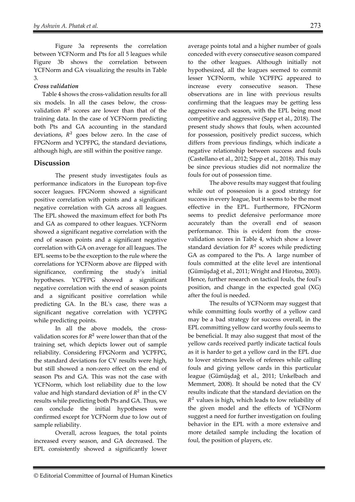Figure 3a represents the correlation between YCFNorm and Pts for all 5 leagues while Figure 3b shows the correlation between YCFNorm and GA visualizing the results in Table 3.

## *Cross validation*

Table 4 shows the cross-validation results for all six models. In all the cases below, the crossvalidation  $R^2$  scores are lower than that of the training data. In the case of YCFNorm predicting both Pts and GA accounting in the standard deviations,  $R^2$  goes below zero. In the case of FPGNorm and YCPFPG, the standard deviations, although high, are still within the positive range.

## **Discussion**

The present study investigates fouls as performance indicators in the European top-five soccer leagues. FPGNorm showed a significant positive correlation with points and a significant negative correlation with GA across all leagues. The EPL showed the maximum effect for both Pts and GA as compared to other leagues. YCFNorm showed a significant negative correlation with the end of season points and a significant negative correlation with GA on average for all leagues. The EPL seems to be the exception to the rule where the correlations for YCFNorm above are flipped with significance, confirming the study's initial hypotheses. YCPFPG showed a significant negative correlation with the end of season points and a significant positive correlation while predicting GA. In the BL's case, there was a significant negative correlation with YCPFPG while predicting points.

In all the above models, the crossvalidation scores for  $R^2$  were lower than that of the training set, which depicts lower out of sample reliability. Considering FPGNorm and YCPFPG, the standard deviations for CV results were high, but still showed a non-zero effect on the end of season Pts and GA. This was not the case with YCFNorm, which lost reliability due to the low value and high standard deviation of  $R^2$  in the CV results while predicting both Pts and GA. Thus, we can conclude the initial hypotheses were confirmed except for YCFNorm due to low out of sample reliability.

Overall, across leagues, the total points increased every season, and GA decreased. The EPL consistently showed a significantly lower

average points total and a higher number of goals conceded with every consecutive season compared to the other leagues. Although initially not hypothesized, all the leagues seemed to commit lesser YCFNorm, while YCPFPG appeared to increase every consecutive season. These observations are in line with previous results confirming that the leagues may be getting less aggressive each season, with the EPL being most competitive and aggressive (Sapp et al., 2018). The present study shows that fouls, when accounted for possession, positively predict success, which differs from previous findings, which indicate a negative relationship between success and fouls (Castellano et al., 2012; Sapp et al., 2018). This may be since previous studies did not normalize the fouls for out of possession time.

The above results may suggest that fouling while out of possession is a good strategy for success in every league, but it seems to be the most effective in the EPL. Furthermore, FPGNorm seems to predict defensive performance more accurately than the overall end of season performance. This is evident from the crossvalidation scores in Table 4, which show a lower standard deviation for  $R^2$  scores while predicting GA as compared to the Pts. A large number of fouls committed at the elite level are intentional (Gümüşdağ et al., 2011; Wright and Hirotsu, 2003). Hence, further research on tactical fouls, the foul's position, and change in the expected goal (XG) after the foul is needed.

The results of YCFNorm may suggest that while committing fouls worthy of a yellow card may be a bad strategy for success overall, in the EPL committing yellow card worthy fouls seems to be beneficial. It may also suggest that most of the yellow cards received partly indicate tactical fouls as it is harder to get a yellow card in the EPL due to lower strictness levels of referees while calling fouls and giving yellow cards in this particular league (Gümüşdağ et al., 2011; Unkelbach and Memmert, 2008). It should be noted that the CV results indicate that the standard deviation on the  $R<sup>2</sup>$  values is high, which leads to low reliability of the given model and the effects of YCFNorm suggest a need for further investigation on fouling behavior in the EPL with a more extensive and more detailed sample including the location of foul, the position of players, etc.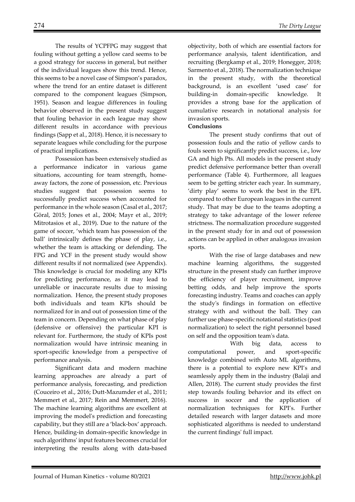The results of YCPFPG may suggest that fouling without getting a yellow card seems to be a good strategy for success in general, but neither of the individual leagues show this trend. Hence, this seems to be a novel case of Simpson's paradox, where the trend for an entire dataset is different compared to the component leagues (Simpson, 1951). Season and league differences in fouling behavior observed in the present study suggest that fouling behavior in each league may show different results in accordance with previous findings (Sapp et al., 2018). Hence, it is necessary to separate leagues while concluding for the purpose of practical implications.

Possession has been extensively studied as a performance indicator in various game situations, accounting for team strength, homeaway factors, the zone of possession, etc. Previous studies suggest that possession seems to successfully predict success when accounted for performance in the whole season (Casal et al., 2017; Göral, 2015; Jones et al., 2004; Mayr et al., 2019; Mitrotasios et al., 2019). Due to the nature of the game of soccer, 'which team has possession of the ball' intrinsically defines the phase of play, i.e., whether the team is attacking or defending. The FPG and YCF in the present study would show different results if not normalized (see Appendix). This knowledge is crucial for modeling any KPIs for predicting performance, as it may lead to unreliable or inaccurate results due to missing normalization. Hence, the present study proposes both individuals and team KPIs should be normalized for in and out of possession time of the team in concern. Depending on what phase of play (defensive or offensive) the particular KPI is relevant for. Furthermore, the study of KPIs post normalization would have intrinsic meaning in sport-specific knowledge from a perspective of performance analysis.

Significant data and modern machine learning approaches are already a part of performance analysis, forecasting, and prediction (Couceiro et al., 2016; Dutt-Mazumder et al., 2011; Memmert et al., 2017; Rein and Memmert, 2016). The machine learning algorithms are excellent at improving the model's prediction and forecasting capability, but they still are a 'black-box' approach. Hence, building-in domain-specific knowledge in such algorithms' input features becomes crucial for interpreting the results along with data-based

objectivity, both of which are essential factors for performance analysis, talent identification, and recruiting (Bergkamp et al., 2019; Honegger, 2018; Sarmento et al., 2018). The normalization technique in the present study, with the theoretical background, is an excellent 'used case' for building-in domain-specific knowledge. It provides a strong base for the application of cumulative research in notational analysis for invasion sports.

### **Conclusions**

The present study confirms that out of possession fouls and the ratio of yellow cards to fouls seem to significantly predict success, i.e., low GA and high Pts. All models in the present study predict defensive performance better than overall performance (Table 4). Furthermore, all leagues seem to be getting stricter each year. In summary, 'dirty play' seems to work the best in the EPL compared to other European leagues in the current study. That may be due to the teams adopting a strategy to take advantage of the lower referee strictness. The normalization procedure suggested in the present study for in and out of possession actions can be applied in other analogous invasion sports.

With the rise of large databases and new machine learning algorithms, the suggested structure in the present study can further improve the efficiency of player recruitment, improve betting odds, and help improve the sports forecasting industry. Teams and coaches can apply the study's findings in formation on effective strategy with and without the ball. They can further use phase-specific notational statistics (post normalization) to select the right personnel based on self and the opposition team's data.

 With big data, access to computational power, and sport-specific knowledge combined with Auto ML algorithms, there is a potential to explore new KPI's and seamlessly apply them in the industry (Balaji and Allen, 2018). The current study provides the first step towards fouling behavior and its effect on success in soccer and the application of normalization techniques for KPI's. Further detailed research with larger datasets and more sophisticated algorithms is needed to understand the current findings' full impact.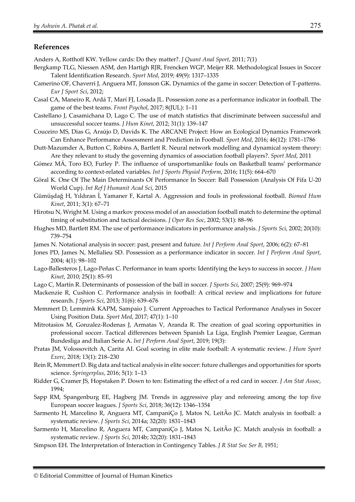## **References**

Anders A, Rotthoff KW. Yellow cards: Do they matter?. *J Quant Anal Sport*, 2011; 7(1)

- Bergkamp TLG, Niessen ASM, den Hartigh RJR, Frencken WGP, Meijer RR. Methodological Issues in Soccer Talent Identification Research. *Sport Med*, 2019; 49(9): 1317–1335
- Camerino OF, Chaverri J, Anguera MT, Jonsson GK. Dynamics of the game in soccer: Detection of T-patterns. *Eur J Sport Sci*, 2012;
- Casal CA, Maneiro R, Ardá T, Marí FJ, Losada JL. Possession zone as a performance indicator in football. The game of the best teams. *Front Psychol*, 2017; 8(JUL): 1–11
- Castellano J, Casamichana D, Lago C. The use of match statistics that discriminate between successful and unsuccessful soccer teams. *J Hum Kinet*, 2012; 31(1): 139–147
- Couceiro MS, Dias G, Araújo D, Davids K. The ARCANE Project: How an Ecological Dynamics Framework Can Enhance Performance Assessment and Prediction in Football. *Sport Med*, 2016; 46(12): 1781–1786
- Dutt-Mazumder A, Button C, Robins A, Bartlett R. Neural network modelling and dynamical system theory: Are they relevant to study the governing dynamics of association football players?. *Sport Med*, 2011
- Gómez MÁ, Toro EO, Furley P. The influence of unsportsmanlike fouls on Basketball teams' performance according to context-related variables. *Int J Sports Physiol Perform*, 2016; 11(5): 664–670
- Göral K. One Of The Main Determinants Of Performance In Soccer: Ball Possession (Analysis Of Fifa U-20 World Cup). *Int Ref J Humanit Acad Sci*, 2015
- Gümüşdağ H, Yıldıran İ, Yamaner F, Kartal A. Aggression and fouls in professional football. *Biomed Hum Kinet*, 2011; 3(1): 67–71
- Hirotsu N, Wright M. Using a markov process model of an association football match to determine the optimal timing of substitution and tactical decisions. *J Oper Res Soc*, 2002; 53(1): 88–96
- Hughes MD, Bartlett RM. The use of performance indicators in performance analysis. *J Sports Sci*, 2002; 20(10): 739–754
- James N. Notational analysis in soccer: past, present and future. *Int J Perform Anal Sport*, 2006; 6(2): 67–81
- Jones PD, James N, Mellalieu SD. Possession as a performance indicator in soccer. *Int J Perform Anal Sport*, 2004; 4(1): 98–102
- Lago-Ballesteros J, Lago-Peñas C. Performance in team sports: Identifying the keys to success in soccer. *J Hum Kinet*, 2010; 25(1): 85–91
- Lago C, Martín R. Determinants of possession of the ball in soccer. *J Sports Sci*, 2007; 25(9): 969–974
- Mackenzie R, Cushion C. Performance analysis in football: A critical review and implications for future research. *J Sports Sci*, 2013; 31(6): 639–676
- Memmert D, Lemmink KAPM, Sampaio J. Current Approaches to Tactical Performance Analyses in Soccer Using Position Data. *Sport Med*, 2017; 47(1): 1–10
- Mitrotasios M, Gonzalez-Rodenas J, Armatas V, Aranda R. The creation of goal scoring opportunities in professional soccer. Tactical differences between Spanish La Liga, English Premier League, German Bundesliga and Italian Serie A. *Int J Perform Anal Sport*, 2019; 19(3):
- Pratas JM, Volossovitch A, Carita AI. Goal scoring in elite male football: A systematic review. *J Hum Sport Exerc*, 2018; 13(1): 218–230
- Rein R, Memmert D. Big data and tactical analysis in elite soccer: future challenges and opportunities for sports science. *Springerplus*, 2016; 5(1): 1–13
- Ridder G, Cramer JS, Hopstaken P. Down to ten: Estimating the effect of a red card in soccer. *J Am Stat Assoc*, 1994;
- Sapp RM, Spangenburg EE, Hagberg JM. Trends in aggressive play and refereeing among the top five European soccer leagues. *J Sports Sci*, 2018; 36(12): 1346–1354
- Sarmento H, Marcelino R, Anguera MT, CampaniÇo J, Matos N, LeitÃo JC. Match analysis in football: a systematic review. *J Sports Sci*, 2014a; 32(20): 1831–1843
- Sarmento H, Marcelino R, Anguera MT, CampaniÇo J, Matos N, LeitAo JC. Match analysis in football: a systematic review. *J Sports Sci*, 2014b; 32(20): 1831–1843
- Simpson EH. The Interpretation of Interaction in Contingency Tables. *J R Stat Soc Ser B*, 1951;